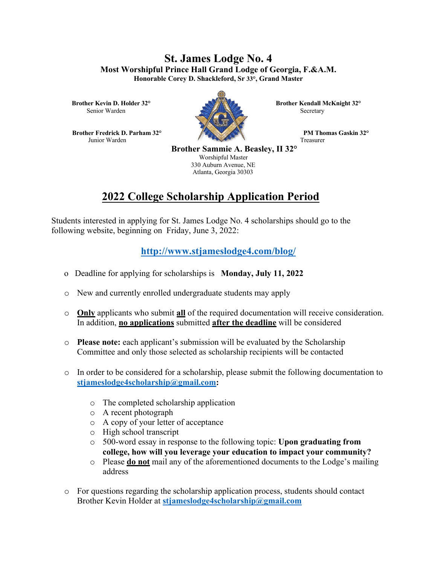## **St. James Lodge No. 4 Most Worshipful Prince Hall Grand Lodge of Georgia, F.&A.M. Honorable Corey D. Shackleford, Sr 33°, Grand Master**

Senior Warden Secretary Secretary

**Example 1.5 PM Thomas Gaskin 32°** Junior Warden Treasurer



**Brother Kevin D. Holder 32° <b>Brother Kendall McKnight 32° Brother Kendall McKnight 32°** 

 **Brother Sammie A. Beasley, II 32°** Worshipful Master 330 Auburn Avenue, NE Atlanta, Georgia 30303

## **2022 College Scholarship Application Period**

Students interested in applying for St. James Lodge No. 4 scholarships should go to the following website, beginning on Friday, June 3, 2022:

## **http://www.stjameslodge4.com/blog/**

- o Deadline for applying for scholarships is **Monday, July 11, 2022**
- o New and currently enrolled undergraduate students may apply
- o **Only** applicants who submit **all** of the required documentation will receive consideration. In addition, **no applications** submitted **after the deadline** will be considered
- o **Please note:** each applicant's submission will be evaluated by the Scholarship Committee and only those selected as scholarship recipients will be contacted
- o In order to be considered for a scholarship, please submit the following documentation to **stjameslodge4scholarship@gmail.com:**
	- o The completed scholarship application
	- o A recent photograph
	- o A copy of your letter of acceptance
	- o High school transcript
	- o 500-word essay in response to the following topic: **Upon graduating from college, how will you leverage your education to impact your community?**
	- o Please **do not** mail any of the aforementioned documents to the Lodge's mailing address
- o For questions regarding the scholarship application process, students should contact Brother Kevin Holder at **stjameslodge4scholarship@gmail.com**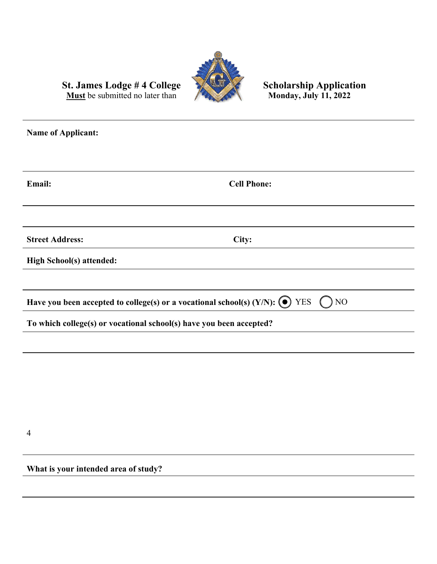

**Must** be submitted no later than

## St. James Lodge # 4 College Scholarship Application<br>Must be submitted no later than Monday, July 11, 2022

**Name of Applicant: Email: Cell Phone: Street Address: City: High School(s) attended: Have you been accepted to college(s) or a vocational school(s) (Y/N): (** $\bullet$ **)** YES ( ) NO **To which college(s) or vocational school(s) have you been accepted?**

4

**What is your intended area of study?**